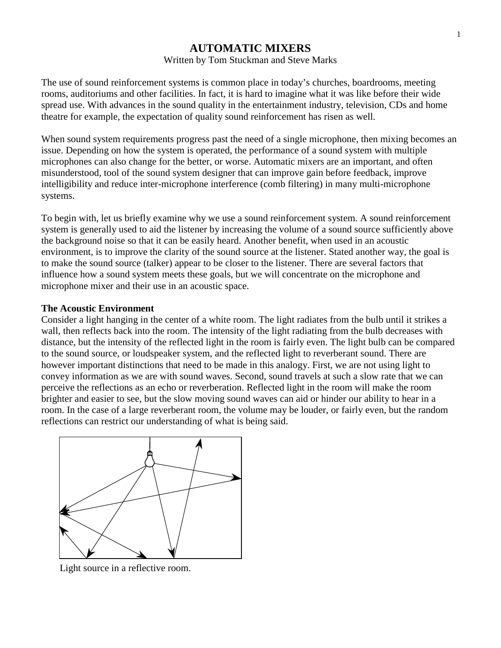# **AUTOMATIC MIXERS**

### Written by Tom Stuckman and Steve Marks

The use of sound reinforcement systems is common place in today's churches, boardrooms, meeting rooms, auditoriums and other facilities. In fact, it is hard to imagine what it was like before their wide spread use. With advances in the sound quality in the entertainment industry, television, CDs and home theatre for example, the expectation of quality sound reinforcement has risen as well.

When sound system requirements progress past the need of a single microphone, then mixing becomes an issue. Depending on how the system is operated, the performance of a sound system with multiple microphones can also change for the better, or worse. Automatic mixers are an important, and often misunderstood, tool of the sound system designer that can improve gain before feedback, improve intelligibility and reduce inter-microphone interference (comb filtering) in many multi-microphone systems.

To begin with, let us briefly examine why we use a sound reinforcement system. A sound reinforcement system is generally used to aid the listener by increasing the volume of a sound source sufficiently above the background noise so that it can be easily heard. Another benefit, when used in an acoustic environment, is to improve the clarity of the sound source at the listener. Stated another way, the goal is to make the sound source (talker) appear to be closer to the listener. There are several factors that influence how a sound system meets these goals, but we will concentrate on the microphone and microphone mixer and their use in an acoustic space.

## **The Acoustic Environment**

Consider a light hanging in the center of a white room. The light radiates from the bulb until it strikes a wall, then reflects back into the room. The intensity of the light radiating from the bulb decreases with distance, but the intensity of the reflected light in the room is fairly even. The light bulb can be compared to the sound source, or loudspeaker system, and the reflected light to reverberant sound. There are however important distinctions that need to be made in this analogy. First, we are not using light to convey information as we are with sound waves. Second, sound travels at such a slow rate that we can perceive the reflections as an echo or reverberation. Reflected light in the room will make the room brighter and easier to see, but the slow moving sound waves can aid or hinder our ability to hear in a room. In the case of a large reverberant room, the volume may be louder, or fairly even, but the random reflections can restrict our understanding of what is being said.



Light source in a reflective room.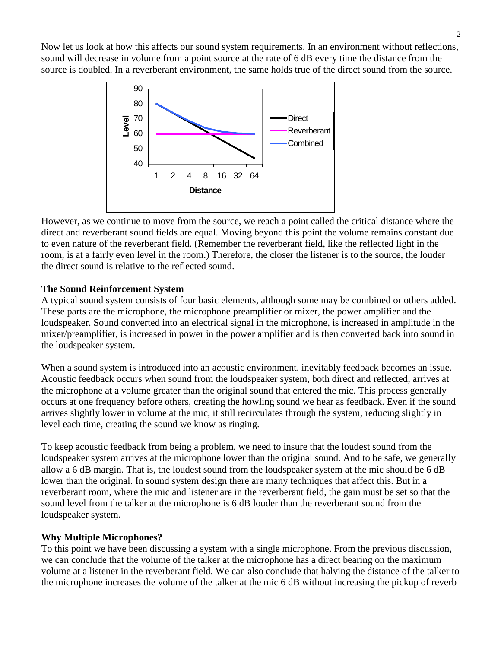Now let us look at how this affects our sound system requirements. In an environment without reflections, sound will decrease in volume from a point source at the rate of 6 dB every time the distance from the source is doubled. In a reverberant environment, the same holds true of the direct sound from the source.



However, as we continue to move from the source, we reach a point called the critical distance where the direct and reverberant sound fields are equal. Moving beyond this point the volume remains constant due to even nature of the reverberant field. (Remember the reverberant field, like the reflected light in the room, is at a fairly even level in the room.) Therefore, the closer the listener is to the source, the louder the direct sound is relative to the reflected sound.

## **The Sound Reinforcement System**

A typical sound system consists of four basic elements, although some may be combined or others added. These parts are the microphone, the microphone preamplifier or mixer, the power amplifier and the loudspeaker. Sound converted into an electrical signal in the microphone, is increased in amplitude in the mixer/preamplifier, is increased in power in the power amplifier and is then converted back into sound in the loudspeaker system.

When a sound system is introduced into an acoustic environment, inevitably feedback becomes an issue. Acoustic feedback occurs when sound from the loudspeaker system, both direct and reflected, arrives at the microphone at a volume greater than the original sound that entered the mic. This process generally occurs at one frequency before others, creating the howling sound we hear as feedback. Even if the sound arrives slightly lower in volume at the mic, it still recirculates through the system, reducing slightly in level each time, creating the sound we know as ringing.

To keep acoustic feedback from being a problem, we need to insure that the loudest sound from the loudspeaker system arrives at the microphone lower than the original sound. And to be safe, we generally allow a 6 dB margin. That is, the loudest sound from the loudspeaker system at the mic should be 6 dB lower than the original. In sound system design there are many techniques that affect this. But in a reverberant room, where the mic and listener are in the reverberant field, the gain must be set so that the sound level from the talker at the microphone is 6 dB louder than the reverberant sound from the loudspeaker system.

## **Why Multiple Microphones?**

To this point we have been discussing a system with a single microphone. From the previous discussion, we can conclude that the volume of the talker at the microphone has a direct bearing on the maximum volume at a listener in the reverberant field. We can also conclude that halving the distance of the talker to the microphone increases the volume of the talker at the mic 6 dB without increasing the pickup of reverb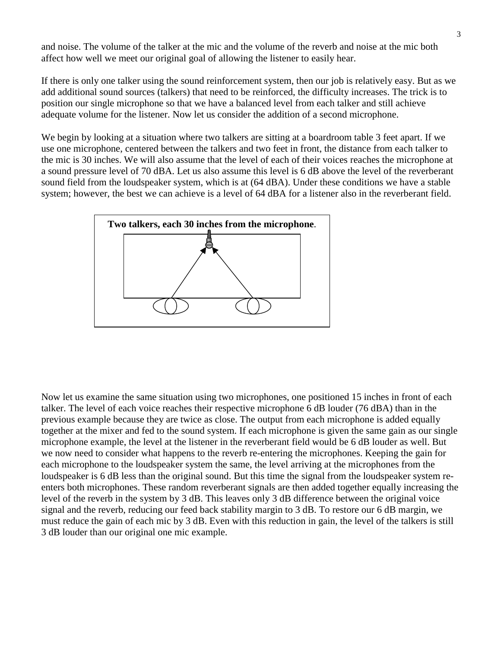and noise. The volume of the talker at the mic and the volume of the reverb and noise at the mic both affect how well we meet our original goal of allowing the listener to easily hear.

If there is only one talker using the sound reinforcement system, then our job is relatively easy. But as we add additional sound sources (talkers) that need to be reinforced, the difficulty increases. The trick is to position our single microphone so that we have a balanced level from each talker and still achieve adequate volume for the listener. Now let us consider the addition of a second microphone.

We begin by looking at a situation where two talkers are sitting at a boardroom table 3 feet apart. If we use one microphone, centered between the talkers and two feet in front, the distance from each talker to the mic is 30 inches. We will also assume that the level of each of their voices reaches the microphone at a sound pressure level of 70 dBA. Let us also assume this level is 6 dB above the level of the reverberant sound field from the loudspeaker system, which is at (64 dBA). Under these conditions we have a stable system; however, the best we can achieve is a level of 64 dBA for a listener also in the reverberant field.



Now let us examine the same situation using two microphones, one positioned 15 inches in front of each talker. The level of each voice reaches their respective microphone 6 dB louder (76 dBA) than in the previous example because they are twice as close. The output from each microphone is added equally together at the mixer and fed to the sound system. If each microphone is given the same gain as our single microphone example, the level at the listener in the reverberant field would be 6 dB louder as well. But we now need to consider what happens to the reverb re-entering the microphones. Keeping the gain for each microphone to the loudspeaker system the same, the level arriving at the microphones from the loudspeaker is 6 dB less than the original sound. But this time the signal from the loudspeaker system reenters both microphones. These random reverberant signals are then added together equally increasing the level of the reverb in the system by 3 dB. This leaves only 3 dB difference between the original voice signal and the reverb, reducing our feed back stability margin to 3 dB. To restore our 6 dB margin, we must reduce the gain of each mic by 3 dB. Even with this reduction in gain, the level of the talkers is still 3 dB louder than our original one mic example.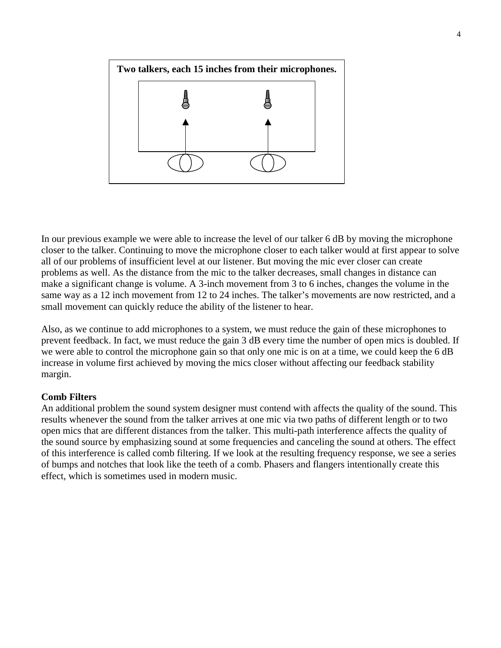

In our previous example we were able to increase the level of our talker 6 dB by moving the microphone closer to the talker. Continuing to move the microphone closer to each talker would at first appear to solve all of our problems of insufficient level at our listener. But moving the mic ever closer can create problems as well. As the distance from the mic to the talker decreases, small changes in distance can make a significant change is volume. A 3-inch movement from 3 to 6 inches, changes the volume in the same way as a 12 inch movement from 12 to 24 inches. The talker's movements are now restricted, and a small movement can quickly reduce the ability of the listener to hear.

Also, as we continue to add microphones to a system, we must reduce the gain of these microphones to prevent feedback. In fact, we must reduce the gain 3 dB every time the number of open mics is doubled. If we were able to control the microphone gain so that only one mic is on at a time, we could keep the 6 dB increase in volume first achieved by moving the mics closer without affecting our feedback stability margin.

## **Comb Filters**

An additional problem the sound system designer must contend with affects the quality of the sound. This results whenever the sound from the talker arrives at one mic via two paths of different length or to two open mics that are different distances from the talker. This multi-path interference affects the quality of the sound source by emphasizing sound at some frequencies and canceling the sound at others. The effect of this interference is called comb filtering. If we look at the resulting frequency response, we see a series of bumps and notches that look like the teeth of a comb. Phasers and flangers intentionally create this effect, which is sometimes used in modern music.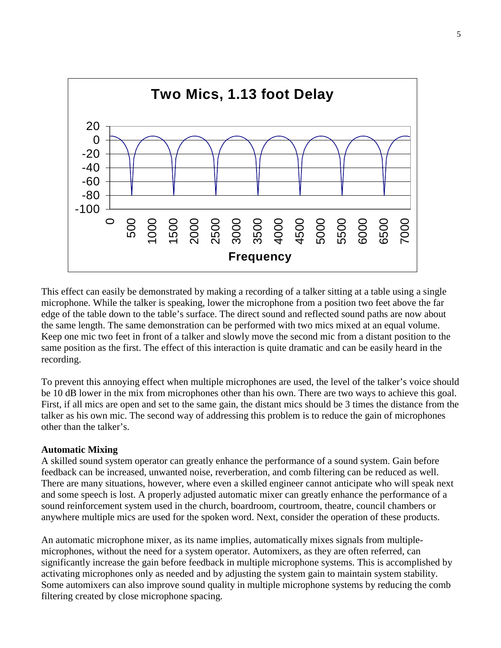

This effect can easily be demonstrated by making a recording of a talker sitting at a table using a single microphone. While the talker is speaking, lower the microphone from a position two feet above the far edge of the table down to the table's surface. The direct sound and reflected sound paths are now about the same length. The same demonstration can be performed with two mics mixed at an equal volume. Keep one mic two feet in front of a talker and slowly move the second mic from a distant position to the same position as the first. The effect of this interaction is quite dramatic and can be easily heard in the recording.

To prevent this annoying effect when multiple microphones are used, the level of the talker's voice should be 10 dB lower in the mix from microphones other than his own. There are two ways to achieve this goal. First, if all mics are open and set to the same gain, the distant mics should be 3 times the distance from the talker as his own mic. The second way of addressing this problem is to reduce the gain of microphones other than the talker's.

## **Automatic Mixing**

A skilled sound system operator can greatly enhance the performance of a sound system. Gain before feedback can be increased, unwanted noise, reverberation, and comb filtering can be reduced as well. There are many situations, however, where even a skilled engineer cannot anticipate who will speak next and some speech is lost. A properly adjusted automatic mixer can greatly enhance the performance of a sound reinforcement system used in the church, boardroom, courtroom, theatre, council chambers or anywhere multiple mics are used for the spoken word. Next, consider the operation of these products.

An automatic microphone mixer, as its name implies, automatically mixes signals from multiplemicrophones, without the need for a system operator. Automixers, as they are often referred, can significantly increase the gain before feedback in multiple microphone systems. This is accomplished by activating microphones only as needed and by adjusting the system gain to maintain system stability. Some automixers can also improve sound quality in multiple microphone systems by reducing the comb filtering created by close microphone spacing.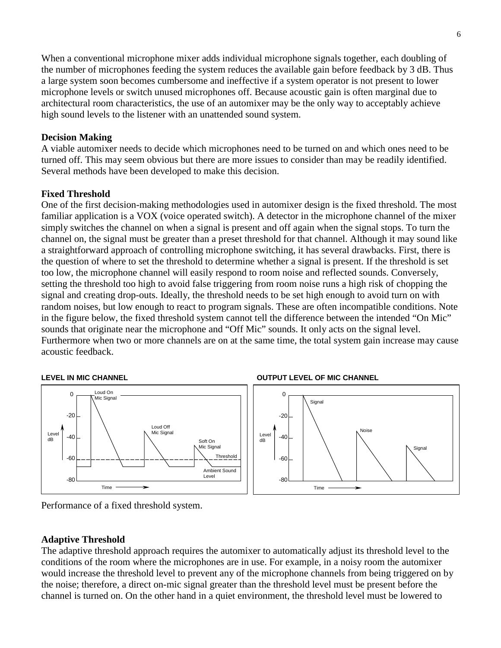When a conventional microphone mixer adds individual microphone signals together, each doubling of the number of microphones feeding the system reduces the available gain before feedback by 3 dB. Thus a large system soon becomes cumbersome and ineffective if a system operator is not present to lower microphone levels or switch unused microphones off. Because acoustic gain is often marginal due to architectural room characteristics, the use of an automixer may be the only way to acceptably achieve high sound levels to the listener with an unattended sound system.

## **Decision Making**

A viable automixer needs to decide which microphones need to be turned on and which ones need to be turned off. This may seem obvious but there are more issues to consider than may be readily identified. Several methods have been developed to make this decision.

## **Fixed Threshold**

One of the first decision-making methodologies used in automixer design is the fixed threshold. The most familiar application is a VOX (voice operated switch). A detector in the microphone channel of the mixer simply switches the channel on when a signal is present and off again when the signal stops. To turn the channel on, the signal must be greater than a preset threshold for that channel. Although it may sound like a straightforward approach of controlling microphone switching, it has several drawbacks. First, there is the question of where to set the threshold to determine whether a signal is present. If the threshold is set too low, the microphone channel will easily respond to room noise and reflected sounds. Conversely, setting the threshold too high to avoid false triggering from room noise runs a high risk of chopping the signal and creating drop-outs. Ideally, the threshold needs to be set high enough to avoid turn on with random noises, but low enough to react to program signals. These are often incompatible conditions. Note in the figure below, the fixed threshold system cannot tell the difference between the intended "On Mic" sounds that originate near the microphone and "Off Mic" sounds. It only acts on the signal level. Furthermore when two or more channels are on at the same time, the total system gain increase may cause acoustic feedback.









## **Adaptive Threshold**

The adaptive threshold approach requires the automixer to automatically adjust its threshold level to the conditions of the room where the microphones are in use. For example, in a noisy room the automixer would increase the threshold level to prevent any of the microphone channels from being triggered on by the noise; therefore, a direct on-mic signal greater than the threshold level must be present before the channel is turned on. On the other hand in a quiet environment, the threshold level must be lowered to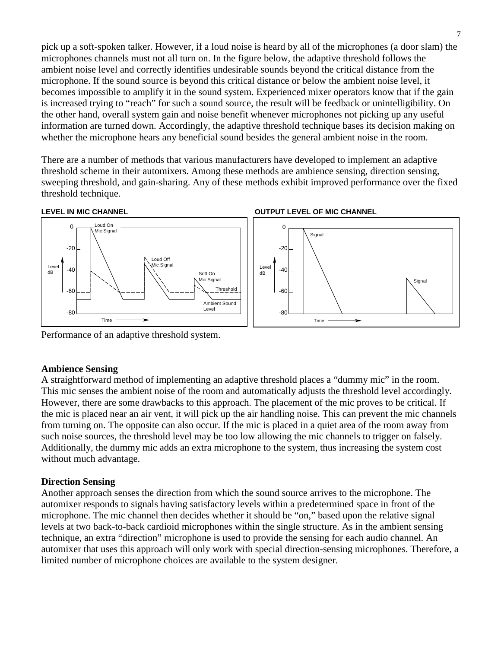pick up a soft-spoken talker. However, if a loud noise is heard by all of the microphones (a door slam) the microphones channels must not all turn on. In the figure below, the adaptive threshold follows the ambient noise level and correctly identifies undesirable sounds beyond the critical distance from the microphone. If the sound source is beyond this critical distance or below the ambient noise level, it becomes impossible to amplify it in the sound system. Experienced mixer operators know that if the gain is increased trying to "reach" for such a sound source, the result will be feedback or unintelligibility. On the other hand, overall system gain and noise benefit whenever microphones not picking up any useful information are turned down. Accordingly, the adaptive threshold technique bases its decision making on whether the microphone hears any beneficial sound besides the general ambient noise in the room.

There are a number of methods that various manufacturers have developed to implement an adaptive threshold scheme in their automixers. Among these methods are ambience sensing, direction sensing, sweeping threshold, and gain-sharing. Any of these methods exhibit improved performance over the fixed threshold technique.



Performance of an adaptive threshold system.

### **Ambience Sensing**

A straightforward method of implementing an adaptive threshold places a "dummy mic" in the room. This mic senses the ambient noise of the room and automatically adjusts the threshold level accordingly. However, there are some drawbacks to this approach. The placement of the mic proves to be critical. If the mic is placed near an air vent, it will pick up the air handling noise. This can prevent the mic channels from turning on. The opposite can also occur. If the mic is placed in a quiet area of the room away from such noise sources, the threshold level may be too low allowing the mic channels to trigger on falsely. Additionally, the dummy mic adds an extra microphone to the system, thus increasing the system cost without much advantage.

### **Direction Sensing**

Another approach senses the direction from which the sound source arrives to the microphone. The automixer responds to signals having satisfactory levels within a predetermined space in front of the microphone. The mic channel then decides whether it should be "on," based upon the relative signal levels at two back-to-back cardioid microphones within the single structure. As in the ambient sensing technique, an extra "direction" microphone is used to provide the sensing for each audio channel. An automixer that uses this approach will only work with special direction-sensing microphones. Therefore, a limited number of microphone choices are available to the system designer.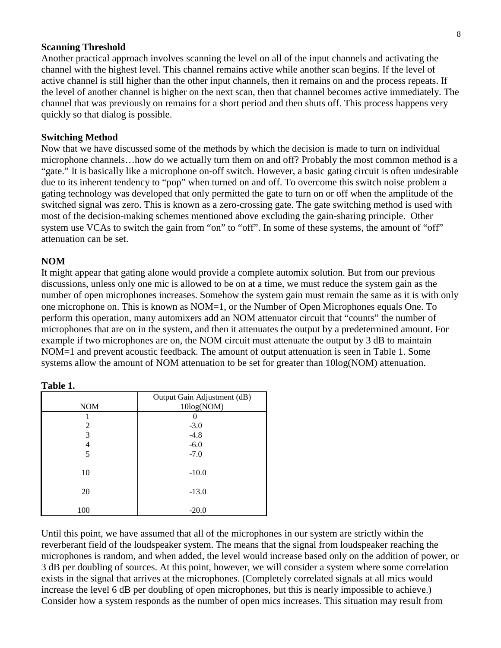### **Scanning Threshold**

Another practical approach involves scanning the level on all of the input channels and activating the channel with the highest level. This channel remains active while another scan begins. If the level of active channel is still higher than the other input channels, then it remains on and the process repeats. If the level of another channel is higher on the next scan, then that channel becomes active immediately. The channel that was previously on remains for a short period and then shuts off. This process happens very quickly so that dialog is possible.

### **Switching Method**

Now that we have discussed some of the methods by which the decision is made to turn on individual microphone channels…how do we actually turn them on and off? Probably the most common method is a "gate." It is basically like a microphone on-off switch. However, a basic gating circuit is often undesirable due to its inherent tendency to "pop" when turned on and off. To overcome this switch noise problem a gating technology was developed that only permitted the gate to turn on or off when the amplitude of the switched signal was zero. This is known as a zero-crossing gate. The gate switching method is used with most of the decision-making schemes mentioned above excluding the gain-sharing principle. Other system use VCAs to switch the gain from "on" to "off". In some of these systems, the amount of "off" attenuation can be set.

### **NOM**

It might appear that gating alone would provide a complete automix solution. But from our previous discussions, unless only one mic is allowed to be on at a time, we must reduce the system gain as the number of open microphones increases. Somehow the system gain must remain the same as it is with only one microphone on. This is known as NOM=1, or the Number of Open Microphones equals One. To perform this operation, many automixers add an NOM attenuator circuit that "counts" the number of microphones that are on in the system, and then it attenuates the output by a predetermined amount. For example if two microphones are on, the NOM circuit must attenuate the output by 3 dB to maintain NOM=1 and prevent acoustic feedback. The amount of output attenuation is seen in Table 1. Some systems allow the amount of NOM attenuation to be set for greater than 10log(NOM) attenuation.

| <b>NOM</b> | Output Gain Adjustment (dB)<br>10log(NOM) |
|------------|-------------------------------------------|
|            |                                           |
| 2          | $-3.0$                                    |
| 3          | $-4.8$                                    |
| 4          | $-6.0$                                    |
| 5          | $-7.0$                                    |
| 10         | $-10.0$                                   |
| 20         | $-13.0$                                   |
| 100        | $-20.0$                                   |

**Table 1.**

Until this point, we have assumed that all of the microphones in our system are strictly within the reverberant field of the loudspeaker system. The means that the signal from loudspeaker reaching the microphones is random, and when added, the level would increase based only on the addition of power, or 3 dB per doubling of sources. At this point, however, we will consider a system where some correlation exists in the signal that arrives at the microphones. (Completely correlated signals at all mics would increase the level 6 dB per doubling of open microphones, but this is nearly impossible to achieve.) Consider how a system responds as the number of open mics increases. This situation may result from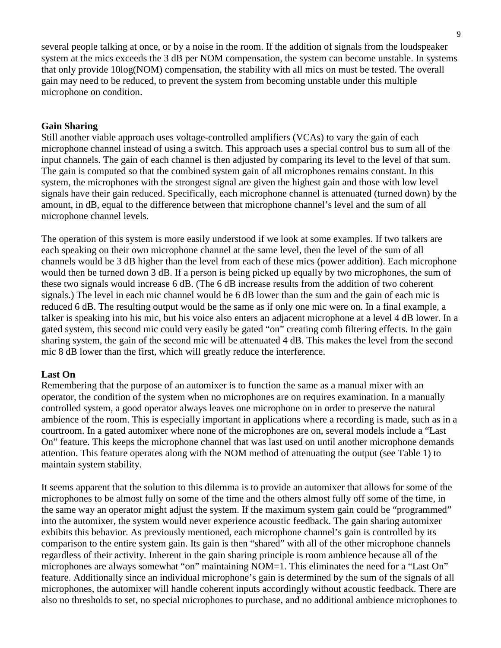several people talking at once, or by a noise in the room. If the addition of signals from the loudspeaker system at the mics exceeds the 3 dB per NOM compensation, the system can become unstable. In systems that only provide 10log(NOM) compensation, the stability with all mics on must be tested. The overall gain may need to be reduced, to prevent the system from becoming unstable under this multiple microphone on condition.

### **Gain Sharing**

Still another viable approach uses voltage-controlled amplifiers (VCAs) to vary the gain of each microphone channel instead of using a switch. This approach uses a special control bus to sum all of the input channels. The gain of each channel is then adjusted by comparing its level to the level of that sum. The gain is computed so that the combined system gain of all microphones remains constant. In this system, the microphones with the strongest signal are given the highest gain and those with low level signals have their gain reduced. Specifically, each microphone channel is attenuated (turned down) by the amount, in dB, equal to the difference between that microphone channel's level and the sum of all microphone channel levels.

The operation of this system is more easily understood if we look at some examples. If two talkers are each speaking on their own microphone channel at the same level, then the level of the sum of all channels would be 3 dB higher than the level from each of these mics (power addition). Each microphone would then be turned down 3 dB. If a person is being picked up equally by two microphones, the sum of these two signals would increase 6 dB. (The 6 dB increase results from the addition of two coherent signals.) The level in each mic channel would be 6 dB lower than the sum and the gain of each mic is reduced 6 dB. The resulting output would be the same as if only one mic were on. In a final example, a talker is speaking into his mic, but his voice also enters an adjacent microphone at a level 4 dB lower. In a gated system, this second mic could very easily be gated "on" creating comb filtering effects. In the gain sharing system, the gain of the second mic will be attenuated 4 dB. This makes the level from the second mic 8 dB lower than the first, which will greatly reduce the interference.

### **Last On**

Remembering that the purpose of an automixer is to function the same as a manual mixer with an operator, the condition of the system when no microphones are on requires examination. In a manually controlled system, a good operator always leaves one microphone on in order to preserve the natural ambience of the room. This is especially important in applications where a recording is made, such as in a courtroom. In a gated automixer where none of the microphones are on, several models include a "Last On" feature. This keeps the microphone channel that was last used on until another microphone demands attention. This feature operates along with the NOM method of attenuating the output (see Table 1) to maintain system stability.

It seems apparent that the solution to this dilemma is to provide an automixer that allows for some of the microphones to be almost fully on some of the time and the others almost fully off some of the time, in the same way an operator might adjust the system. If the maximum system gain could be "programmed" into the automixer, the system would never experience acoustic feedback. The gain sharing automixer exhibits this behavior. As previously mentioned, each microphone channel's gain is controlled by its comparison to the entire system gain. Its gain is then "shared" with all of the other microphone channels regardless of their activity. Inherent in the gain sharing principle is room ambience because all of the microphones are always somewhat "on" maintaining NOM=1. This eliminates the need for a "Last On" feature. Additionally since an individual microphone's gain is determined by the sum of the signals of all microphones, the automixer will handle coherent inputs accordingly without acoustic feedback. There are also no thresholds to set, no special microphones to purchase, and no additional ambience microphones to